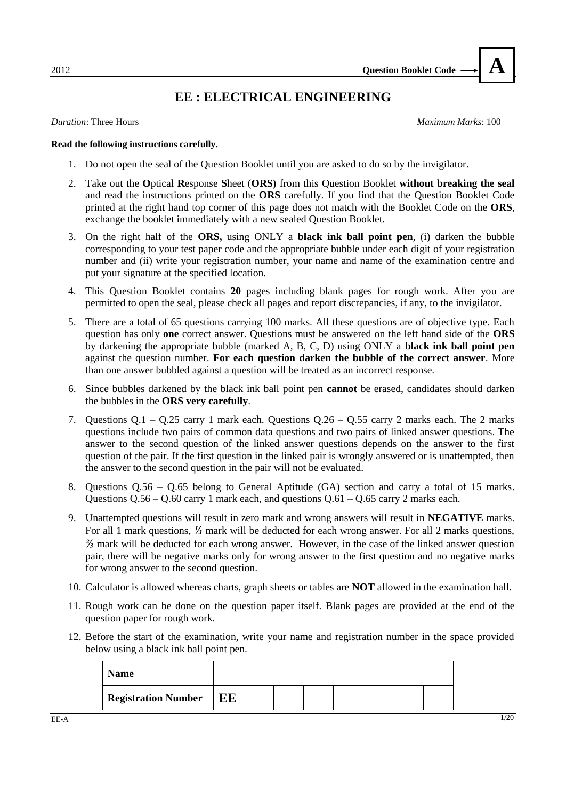## **EE : ELECTRICAL ENGINEERING**

*Duration*: Three Hours *Maximum Marks*: 100

**A**

#### **Read the following instructions carefully.**

- 1. Do not open the seal of the Question Booklet until you are asked to do so by the invigilator.
- 2. Take out the **O**ptical **R**esponse **S**heet (**ORS)** from this Question Booklet **without breaking the seal**  and read the instructions printed on the **ORS** carefully. If you find that the Question Booklet Code printed at the right hand top corner of this page does not match with the Booklet Code on the **ORS**, exchange the booklet immediately with a new sealed Question Booklet.
- 3. On the right half of the **ORS,** using ONLY a **black ink ball point pen**, (i) darken the bubble corresponding to your test paper code and the appropriate bubble under each digit of your registration number and (ii) write your registration number, your name and name of the examination centre and put your signature at the specified location.
- 4. This Question Booklet contains **20** pages including blank pages for rough work. After you are permitted to open the seal, please check all pages and report discrepancies, if any, to the invigilator.
- 5. There are a total of 65 questions carrying 100 marks. All these questions are of objective type. Each question has only **one** correct answer. Questions must be answered on the left hand side of the **ORS** by darkening the appropriate bubble (marked A, B, C, D) using ONLY a **black ink ball point pen** against the question number. **For each question darken the bubble of the correct answer**. More than one answer bubbled against a question will be treated as an incorrect response.
- 6. Since bubbles darkened by the black ink ball point pen **cannot** be erased, candidates should darken the bubbles in the **ORS very carefully**.
- 7. Questions  $Q.1 Q.25$  carry 1 mark each. Questions  $Q.26 Q.55$  carry 2 marks each. The 2 marks questions include two pairs of common data questions and two pairs of linked answer questions. The answer to the second question of the linked answer questions depends on the answer to the first question of the pair. If the first question in the linked pair is wrongly answered or is unattempted, then the answer to the second question in the pair will not be evaluated.
- 8. Questions Q.56 Q.65 belong to General Aptitude (GA) section and carry a total of 15 marks. Questions  $Q.56 - Q.60$  carry 1 mark each, and questions  $Q.61 - Q.65$  carry 2 marks each.
- 9. Unattempted questions will result in zero mark and wrong answers will result in **NEGATIVE** marks. For all 1 mark questions, *⅓* mark will be deducted for each wrong answer. For all 2 marks questions, *⅔* mark will be deducted for each wrong answer. However, in the case of the linked answer question pair, there will be negative marks only for wrong answer to the first question and no negative marks for wrong answer to the second question.
- 10. Calculator is allowed whereas charts, graph sheets or tables are **NOT** allowed in the examination hall.
- 11. Rough work can be done on the question paper itself. Blank pages are provided at the end of the question paper for rough work.
- 12. Before the start of the examination, write your name and registration number in the space provided below using a black ink ball point pen.

| <b>Name</b>                |    |  |  |  |  |
|----------------------------|----|--|--|--|--|
| <b>Registration Number</b> | EE |  |  |  |  |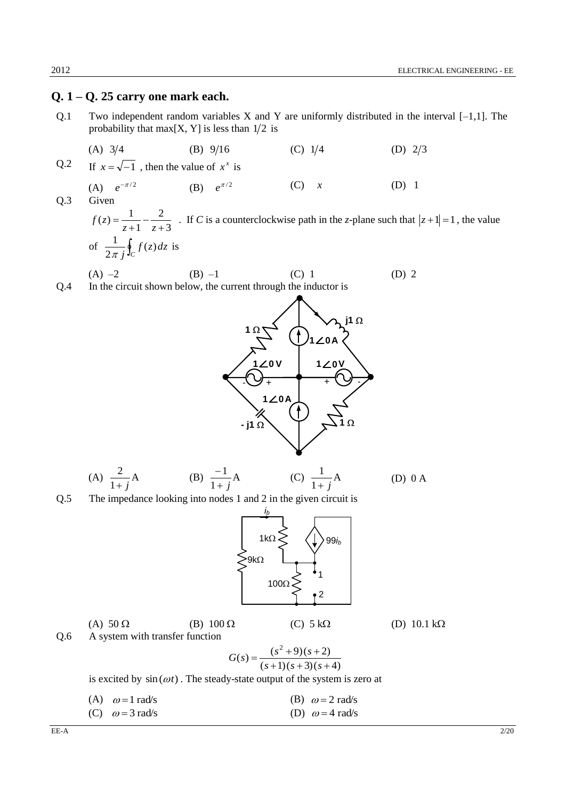### **Q. 1 – Q. 25 carry one mark each.**

Q.1 Two independent random variables X and Y are uniformly distributed in the interval  $[-1,1]$ . The probability that max $[X, Y]$  is less than  $1/2$  is

(A) 
$$
3/4
$$
 (B)  $9/16$  (C)  $1/4$  (D)  $2/3$ 

 $Q.2$  $x = \sqrt{-1}$ , then the value of  $x^x$  is

(A)  $e^{-\pi/2}$ (B)  $e^{\pi/2}$ (C) *x* (D) 1 Q.3 Given

3 2 1  $(z) = \frac{1}{1}$  $\ddot{}$  $\overline{a}$  $^{+}$  $=$ *z z*  $f(z) = \frac{1}{z} - \frac{2}{z}$ . If *C* is a counterclockwise path in the *z*-plane such that  $|z + 1| = 1$ , the value of  $\frac{1}{2\pi i} \oint_C f(z) dz$ *j*  $(z)$ 2 1  $\frac{1}{\pi i} \oint_C f(z) dz$  is

(A) 
$$
-2
$$
 (B)  $-1$  (C) 1 (D) 2  
Q.4 In the circuit shown below, the current through the inductor is



(A) 
$$
\frac{2}{1+j}
$$
A \t(B)  $\frac{-1}{1+j}$ A \t(C)  $\frac{1}{1+j}$ A \t(D) 0 A

Q.5 The impedance looking into nodes 1 and 2 in the given circuit is



|     | (A) $50\Omega$                  | (B) $100 \Omega$ | $(C)$ 5 kΩ                      | (D) 10.1 k $\Omega$ |
|-----|---------------------------------|------------------|---------------------------------|---------------------|
| O.6 | A system with transfer function |                  |                                 |                     |
|     |                                 |                  | $G(s) = \frac{(s^2+9)(s+2)}{s}$ |                     |
|     |                                 |                  | $(s+1)(s+3)(s+4)$               |                     |

is excited by  $sin(\omega t)$ . The steady-state output of the system is zero at

| (A) $\omega = 1$ rad/s | (B) $\omega = 2$ rad/s |
|------------------------|------------------------|
| (C) $\omega = 3$ rad/s | (D) $\omega = 4$ rad/s |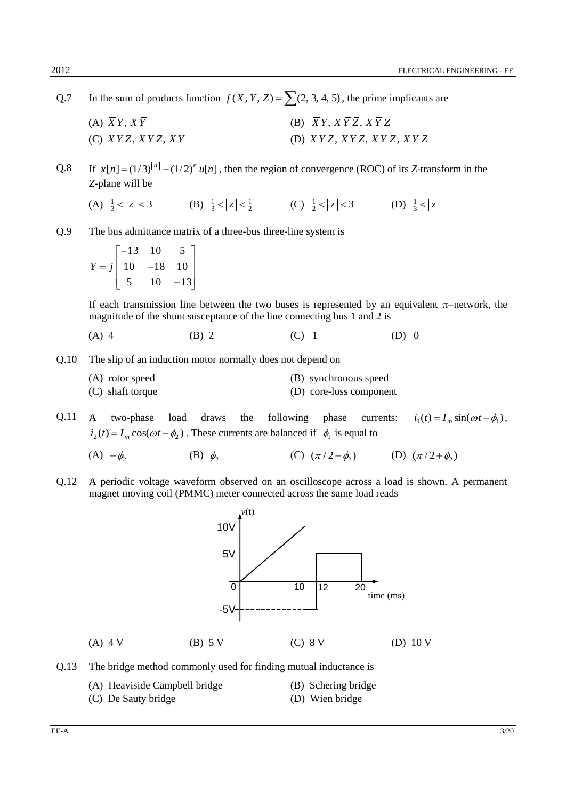- Q.7 In the sum of products function  $f(X, Y, Z) = \sum (2, 3, 4, 5)$ , the prime implicants are
	- (A)  $\overline{X}Y, X\overline{Y}$ (B)  $\overline{X}Y, X\overline{Y}\overline{Z}, X\overline{Y}Z$ (C) *X Y Z*, *X Y Z*, *X Y* (D)  $\overline{X}Y\overline{Z}$ ,  $\overline{X}YZ$ ,  $X\overline{Y}\overline{Z}$ ,  $X\overline{Y}Z$
- $Q.8$  $x[n] = (1/3)^{|n|} - (1/2)^n u[n]$ , then the region of convergence (ROC) of its *Z*-transform in the *Z*-plane will be
	- (A)  $\frac{1}{3} < |z| < 3$ (B)  $\frac{1}{3} < |z| < \frac{1}{2}$  (C)  $\frac{1}{2} < |z| < 3$  (D)  $\frac{1}{3} < |z|$
- Q.9 The bus admittance matrix of a three-bus three-line system is

$$
Y = j \begin{bmatrix} -13 & 10 & 5 \\ 10 & -18 & 10 \\ 5 & 10 & -13 \end{bmatrix}
$$

If each transmission line between the two buses is represented by an equivalent  $\pi$ -network, the magnitude of the shunt susceptance of the line connecting bus 1 and 2 is

- (A) 4 (B) 2 (C) 1 (D) 0
- Q.10 The slip of an induction motor normally does not depend on

| (A) rotor speed    | (B) synchronous speed   |  |
|--------------------|-------------------------|--|
| $(C)$ shaft torque | (D) core-loss component |  |

Q.11 A two-phase load draws the following phase currents:  $i_1(t) = I_m \sin(\omega t - \phi_1),$  $i_2(t) = I_m \cos(\omega t - \phi_2)$ . These currents are balanced if  $\phi_1$  is equal to

- $(A) \phi_2$ (B)  $\phi_2$ (C)  $(\pi/2 - \phi_2)$  (D)  $(\pi/2 + \phi_2)$
- Q.12 A periodic voltage waveform observed on an oscilloscope across a load is shown. A permanent magnet moving coil (PMMC) meter connected across the same load reads



- Q.13 The bridge method commonly used for finding mutual inductance is
	- (A) Heaviside Campbell bridge (B) Schering bridge
		-
	- (C) De Sauty bridge (D) Wien bridge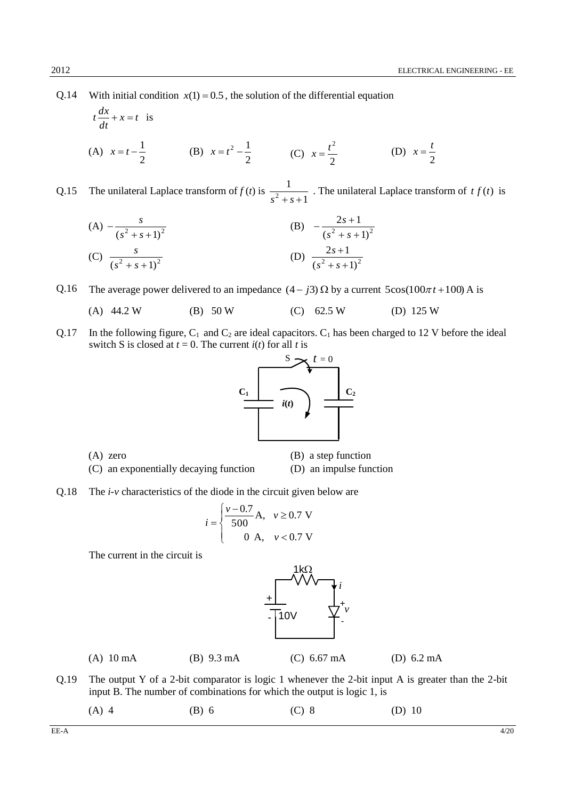2 *t*

Q.14 With initial condition  $x(1) = 0.5$ , the solution of the differential equation

$$
t\frac{dx}{dt} + x = t
$$
 is  
\n(A)  $x = t - \frac{1}{2}$  (B)  $x = t^2 - \frac{1}{2}$  (C)  $x = \frac{t^2}{2}$  (D)  $x =$ 

Q.15 The unilateral Laplace transform of  $f(t)$  is 1 1  $s^2 + s +$ . The unilateral Laplace transform of  $tf(t)$  is

(A) 
$$
-\frac{s}{(s^2 + s + 1)^2}
$$
  
\n(B)  $-\frac{2s + 1}{(s^2 + s + 1)^2}$   
\n(C)  $\frac{s}{(s^2 + s + 1)^2}$   
\n(D)  $\frac{2s + 1}{(s^2 + s + 1)^2}$ 

Q.16 The average power delivered to an impedance  $(4 - j3) \Omega$  by a current  $5\cos(100\pi t + 100)$  A is

- (A)  $44.2 \text{ W}$  (B)  $50 \text{ W}$  (C)  $62.5 \text{ W}$  (D)  $125 \text{ W}$
- Q.17 In the following figure,  $C_1$  and  $C_2$  are ideal capacitors.  $C_1$  has been charged to 12 V before the ideal switch S is closed at  $t = 0$ . The current  $i(t)$  for all  $t$  is



(A) zero (B) a step function

- (C) an exponentially decaying function (D) an impulse function
- Q.18 The *i-v* characteristics of the diode in the circuit given below are

$$
i = \begin{cases} \frac{v - 0.7}{500} A, & v \ge 0.7 \text{ V} \\ 0 & A, & v < 0.7 \text{ V} \end{cases}
$$

The current in the circuit is



(A) 10 mA (B) 9.3 mA (C) 6.67 mA (D) 6.2 mA

- Q.19 The output Y of a 2-bit comparator is logic 1 whenever the 2-bit input A is greater than the 2-bit input B. The number of combinations for which the output is logic 1, is
	- (A) 4 (B) 6 (C) 8 (D) 10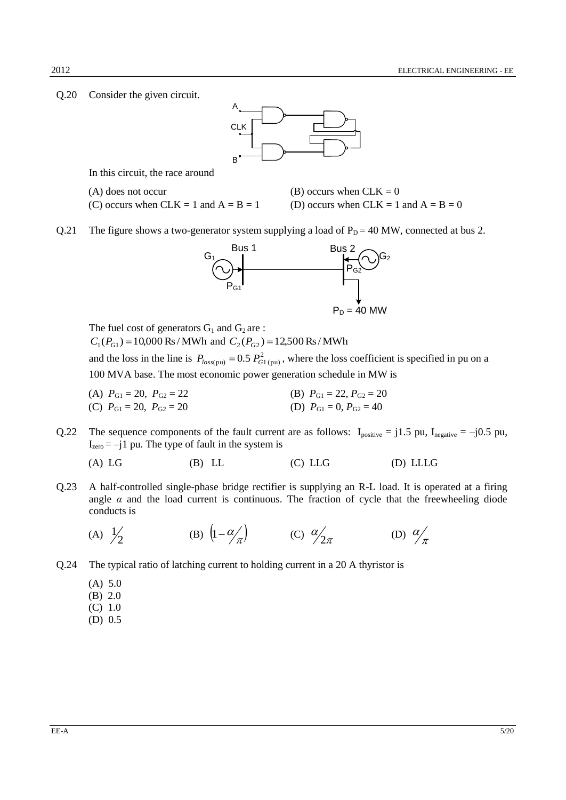Q.20 Consider the given circuit.



In this circuit, the race around

(A) does not occur (B) occurs when  $CLK = 0$ (C) occurs when CLK = 1 and  $A = B = 1$  (D) occurs when CLK = 1 and  $A = B = 0$ 

Q.21 The figure shows a two-generator system supplying a load of  $P_D = 40$  MW, connected at bus 2.



The fuel cost of generators  $G_1$  and  $G_2$  are :  $C_1(P_{G1}) = 10,000 \text{ Rs} / \text{MWh}$  and  $C_2(P_{G2}) = 12,500 \text{ Rs} / \text{MWh}$ and the loss in the line is  $P_{loss(pu)} = 0.5 P_{GI(pu)}^2$ , where the loss coefficient is specified in pu on a 100 MVA base. The most economic power generation schedule in MW is

- (A)  $P_{G1} = 20$ ,  $P_{G2} = 22$  (B)  $P_{G1} = 22$ ,  $P_{G2} = 20$ (C)  $P_{G1} = 20$ ,  $P_{G2} = 20$  (D)  $P_{G1} = 0$ ,  $P_{G2} = 40$
- Q.22 The sequence components of the fault current are as follows:  $I_{positive} = j1.5$  pu,  $I_{negative} = -j0.5$  pu,  $I_{zero} = -j1$  pu. The type of fault in the system is
	- (A) LG (B) LL (C) LLG (D) LLLG
- Q.23 A half-controlled single-phase bridge rectifier is supplying an R-L load. It is operated at a firing angle  $\alpha$  and the load current is continuous. The fraction of cycle that the freewheeling diode conducts is

(A) 
$$
\frac{1}{2}
$$
 \t\t (B)  $\left(1 - \frac{\alpha}{\pi}\right)$  \t\t (C)  $\frac{\alpha}{2\pi}$  \t\t (D)  $\frac{\alpha}{\pi}$ 

- Q.24 The typical ratio of latching current to holding current in a 20 A thyristor is
	- (A) 5.0
	- (B) 2.0
	- (C) 1.0
	- (D) 0.5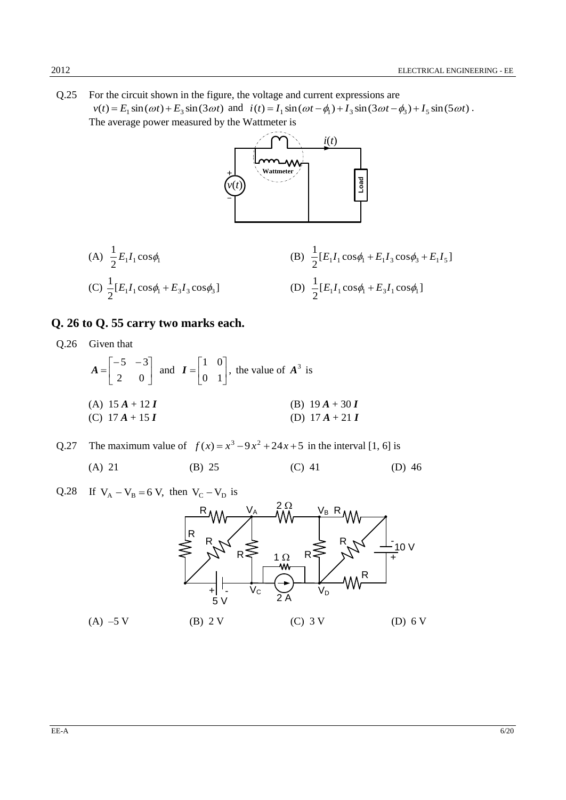Q.25 For the circuit shown in the figure, the voltage and current expressions are  $v(t) = E_1 \sin(\omega t) + E_3 \sin(3\omega t)$  and  $i(t) = I_1 \sin(\omega t - \phi_1) + I_3 \sin(3\omega t - \phi_3) + I_5 \sin(5\omega t)$ . The average power measured by the Wattmeter is



(A) 
$$
\frac{1}{2}E_1I_1\cos\phi_1
$$
  
\n(B)  $\frac{1}{2}[E_1I_1\cos\phi_1 + E_1I_3\cos\phi_3 + E_1I_5]$   
\n(C)  $\frac{1}{2}[E_1I_1\cos\phi_1 + E_3I_3\cos\phi_3]$   
\n(D)  $\frac{1}{2}[E_1I_1\cos\phi_1 + E_3I_1\cos\phi_1]$ 

### **Q. 26 to Q. 55 carry two marks each.**

Q.26 Given that

$$
A = \begin{bmatrix} -5 & -3 \\ 2 & 0 \end{bmatrix} \text{ and } I = \begin{bmatrix} 1 & 0 \\ 0 & 1 \end{bmatrix}, \text{ the value of } A^3 \text{ is}
$$
  
\n(A)  $15A + 12I$   
\n(B)  $19A + 30I$   
\n(C)  $17A + 15I$   
\n(D)  $17A + 21I$ 

Q.27 The maximum value of  $f(x) = x^3 - 9x^2 + 24x + 5$  in the interval [1, 6] is

(A) 21 (B) 25 (C) 41 (D) 46

Q.28 If 
$$
V_A - V_B = 6 V
$$
, then  $V_C - V_D$  is

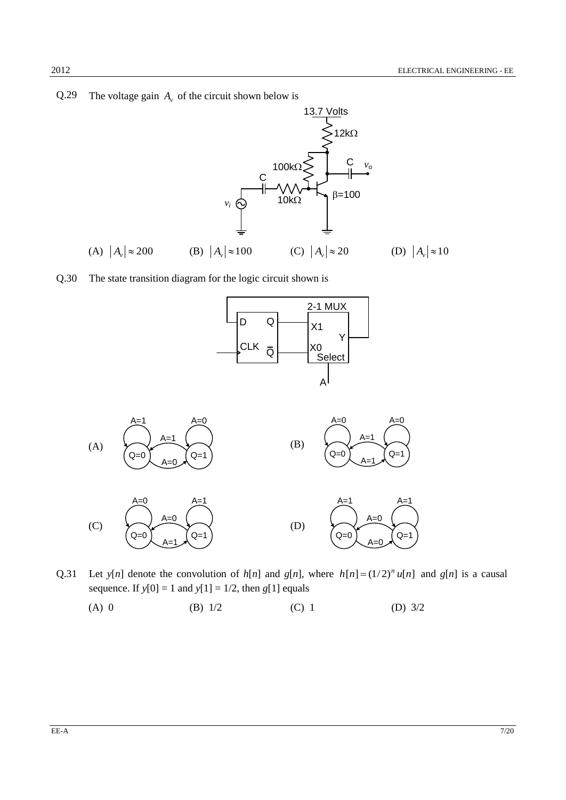### Q.29 The voltage gain  $A_v$  of the circuit shown below is



Q.30 The state transition diagram for the logic circuit shown is





- Q.31 Let  $y[n]$  denote the convolution of  $h[n]$  and  $g[n]$ , where  $h[n] = (1/2)^n u[n]$  and  $g[n]$  is a causal sequence. If  $y[0] = 1$  and  $y[1] = 1/2$ , then  $g[1]$  equals
	- (A) 0 (B) 1/2 (C) 1 (D) 3/2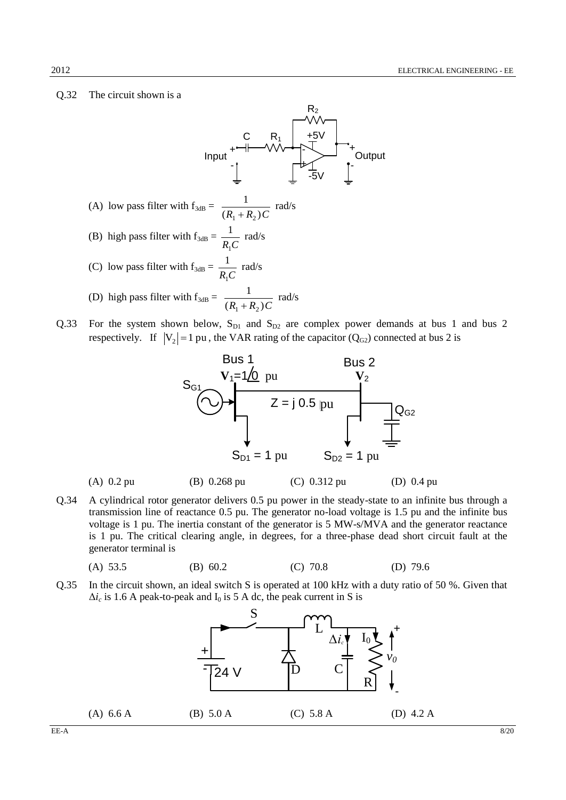#### Q.32 The circuit shown is a



Q.33 For the system shown below,  $S_{D1}$  and  $S_{D2}$  are complex power demands at bus 1 and bus 2 respectively. If  $|V_2| = 1$  pu, the VAR rating of the capacitor ( $Q_{G2}$ ) connected at bus 2 is



(A) 0.2 pu (B) 0.268 pu (C) 0.312 pu (D) 0.4 pu

Q.34 A cylindrical rotor generator delivers 0.5 pu power in the steady-state to an infinite bus through a transmission line of reactance 0.5 pu. The generator no-load voltage is 1.5 pu and the infinite bus voltage is 1 pu. The inertia constant of the generator is 5 MW-s/MVA and the generator reactance is 1 pu. The critical clearing angle, in degrees, for a three-phase dead short circuit fault at the generator terminal is

(A) 53.5 (B) 60.2 (C) 70.8 (D) 79.6

Q.35 In the circuit shown, an ideal switch S is operated at 100 kHz with a duty ratio of 50 %. Given that  $\Delta i_c$  is 1.6 A peak-to-peak and I<sub>0</sub> is 5 A dc, the peak current in S is

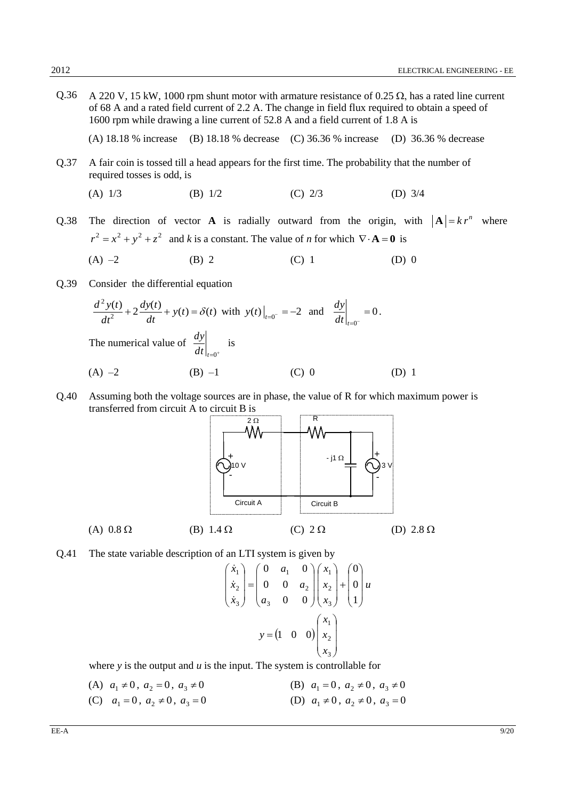Q.36 A 220 V, 15 kW, 1000 rpm shunt motor with armature resistance of 0.25  $\Omega$ , has a rated line current of 68 A and a rated field current of 2.2 A. The change in field flux required to obtain a speed of 1600 rpm while drawing a line current of 52.8 A and a field current of 1.8 A is

(A) 18.18 % increase (B) 18.18 % decrease (C) 36.36 % increase (D) 36.36 % decrease

Q.37 A fair coin is tossed till a head appears for the first time. The probability that the number of required tosses is odd, is

(A) 
$$
1/3
$$
 (B)  $1/2$  (C)  $2/3$  (D)  $3/4$ 

Q.38 The direction of vector **A** is radially outward from the origin, with  $|A| = kr^n$  where  $r^2 = x^2 + y^2 + z^2$  and *k* is a constant. The value of *n* for which  $\nabla \cdot \mathbf{A} = \mathbf{0}$  is

(A) –2 (B) 2 (C) 1 (D) 0

Q.39 Consider the differential equation

$$
\frac{d^2 y(t)}{dt^2} + 2\frac{dy(t)}{dt} + y(t) = \delta(t) \text{ with } y(t)|_{t=0^-} = -2 \text{ and } \frac{dy}{dt}|_{t=0^-} = 0.
$$
  
The numerical value of  $\frac{dy}{dt}|_{t=0^+}$  is  
(A) -2 (B) -1 (C) 0 (D) 1

Q.40 Assuming both the voltage sources are in phase, the value of R for which maximum power is transferred from circuit A to circuit B is



Q.41 The state variable description of an LTI system is given by

$$
\begin{pmatrix} \dot{x}_1 \\ \dot{x}_2 \\ \dot{x}_3 \end{pmatrix} = \begin{pmatrix} 0 & a_1 & 0 \\ 0 & 0 & a_2 \\ a_3 & 0 & 0 \end{pmatrix} \begin{pmatrix} x_1 \\ x_2 \\ x_3 \end{pmatrix} + \begin{pmatrix} 0 \\ 0 \\ 1 \end{pmatrix} u
$$

$$
y = \begin{pmatrix} 1 & 0 & 0 \end{pmatrix} \begin{pmatrix} x_1 \\ x_2 \\ x_3 \end{pmatrix}
$$

where *y* is the output and *u* is the input. The system is controllable for

(A)  $a_1 \neq 0$ ,  $a_2 = 0$ ,  $a_3 \neq 0$ (B)  $a_1 = 0$ ,  $a_2 \neq 0$ ,  $a_3 \neq 0$ (C)  $a_1 = 0, a_2 \neq 0, a_3 = 0$ (D)  $a_1 \neq 0$ ,  $a_2 \neq 0$ ,  $a_3 = 0$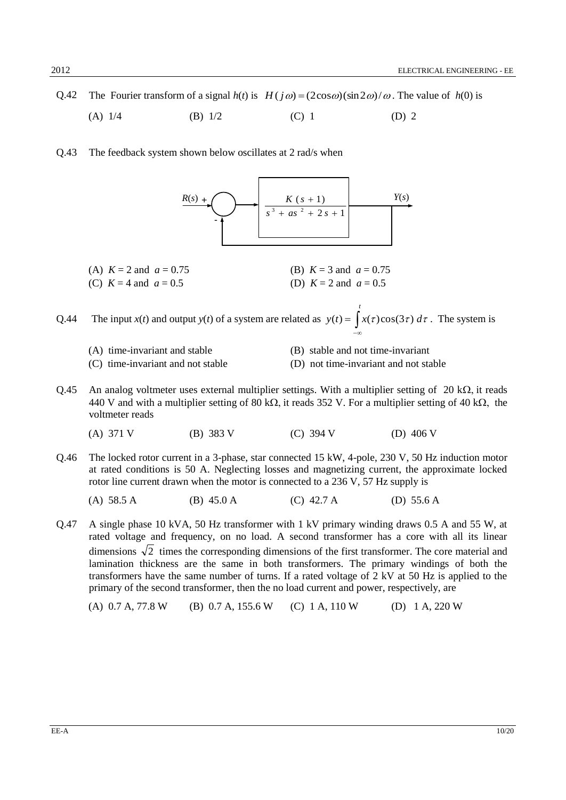Q.42 The Fourier transform of a signal  $h(t)$  is  $H(j\omega) = (2\cos\omega)(\sin 2\omega)/\omega$ . The value of  $h(0)$  is

- (A)  $1/4$  (B)  $1/2$  (C) 1 (D) 2
- Q.43 The feedback system shown below oscillates at 2 rad/s when



(A)  $K = 2$  and  $a = 0.75$  (B)  $K = 3$  and  $a = 0.75$ (C)  $K = 4$  and  $a = 0.5$  (D)  $K = 2$  and  $a = 0.5$ 

Q.44 The input *x*(*t*) and output *y*(*t*) of a system are related as  $y(t) = \int$  $-\infty$ *t*  $y(t) = \int x(\tau) \cos(3\tau) d\tau$ . The system is

- 
- (A) time-invariant and stable (B) stable and not time-invariant
- (C) time-invariant and not stable (D) not time-invariant and not stable
- 
- Q.45 An analog voltmeter uses external multiplier settings. With a multiplier setting of 20 k $\Omega$ , it reads 440 V and with a multiplier setting of 80 k $\Omega$ , it reads 352 V. For a multiplier setting of 40 k $\Omega$ , the voltmeter reads

(A) 371 V (B) 383 V (C) 394 V (D) 406 V

Q.46 The locked rotor current in a 3-phase, star connected 15 kW, 4-pole, 230 V, 50 Hz induction motor at rated conditions is 50 A. Neglecting losses and magnetizing current, the approximate locked rotor line current drawn when the motor is connected to a 236 V, 57 Hz supply is

(A) 58.5 A (B) 45.0 A (C) 42.7 A (D) 55.6 A

Q.47 A single phase 10 kVA, 50 Hz transformer with 1 kV primary winding draws 0.5 A and 55 W, at rated voltage and frequency, on no load. A second transformer has a core with all its linear dimensions  $\sqrt{2}$  times the corresponding dimensions of the first transformer. The core material and lamination thickness are the same in both transformers. The primary windings of both the transformers have the same number of turns. If a rated voltage of 2 kV at 50 Hz is applied to the primary of the second transformer, then the no load current and power, respectively, are

(A) 0.7 A, 77.8 W (B) 0.7 A, 155.6 W (C) 1 A, 110 W (D) 1 A, 220 W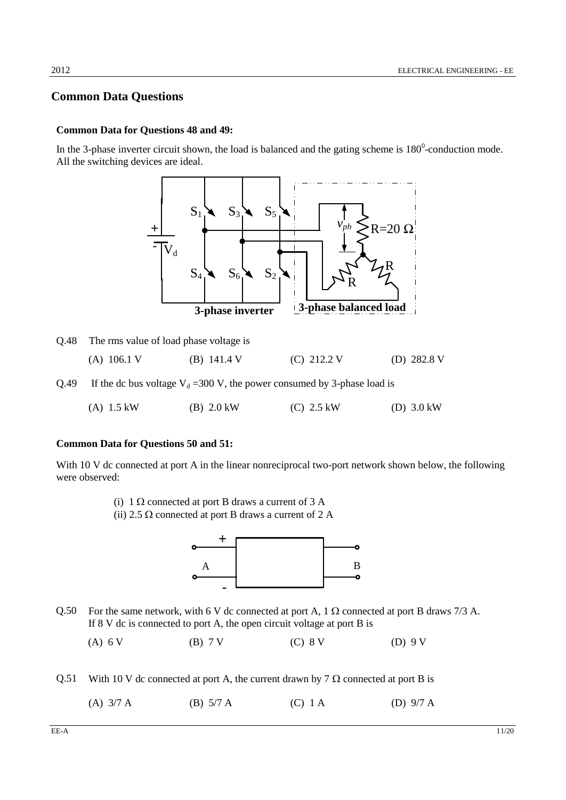### **Common Data Questions**

#### **Common Data for Questions 48 and 49:**

In the 3-phase inverter circuit shown, the load is balanced and the gating scheme is  $180^{\circ}$ -conduction mode. All the switching devices are ideal.



|      | Q.48 The rms value of load phase voltage is |               |                                                                            |             |
|------|---------------------------------------------|---------------|----------------------------------------------------------------------------|-------------|
|      | $(A)$ 106.1 V                               | (B) $141.4$ V | $(C)$ 212.2 V                                                              | (D) 282.8 V |
| 0.49 |                                             |               | If the dc bus voltage $V_d$ = 300 V, the power consumed by 3-phase load is |             |

(A) 1.5 kW (B) 2.0 kW (C) 2.5 kW (D) 3.0 kW

### **Common Data for Questions 50 and 51:**

With 10 V dc connected at port A in the linear nonreciprocal two-port network shown below, the following were observed:

- (i)  $1 \Omega$  connected at port B draws a current of 3 A
- (ii) 2.5  $\Omega$  connected at port B draws a current of 2 A



Q.50 For the same network, with 6 V dc connected at port A, 1  $\Omega$  connected at port B draws 7/3 A. If 8 V dc is connected to port A, the open circuit voltage at port B is

(A) 6 V (B) 7 V (C) 8 V (D) 9 V

- Q.51 With 10 V dc connected at port A, the current drawn by 7  $\Omega$  connected at port B is
	- (A) 3/7 A (B) 5/7 A (C) 1 A (D) 9/7 A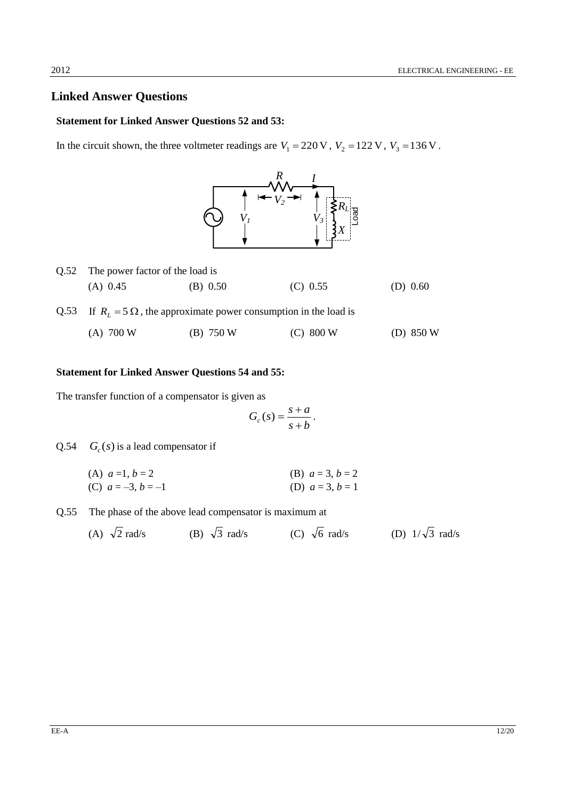### **Linked Answer Questions**

#### **Statement for Linked Answer Questions 52 and 53:**

In the circuit shown, the three voltmeter readings are  $V_1 = 220 \text{ V}$ ,  $V_2 = 122 \text{ V}$ ,  $V_3 = 136 \text{ V}$ .



| 0.52 | The power factor of the load is |                                                                             |            |             |  |  |
|------|---------------------------------|-----------------------------------------------------------------------------|------------|-------------|--|--|
|      | $(A)$ 0.45                      | (B) 0.50                                                                    | $(C)$ 0.55 | (D) $0.60$  |  |  |
|      |                                 | Q.53 If $R_1 = 5 \Omega$ , the approximate power consumption in the load is |            |             |  |  |
|      | $(A)$ 700 W                     | $(B)$ 750 W                                                                 | (C) 800 W  | (D) $850 W$ |  |  |

#### **Statement for Linked Answer Questions 54 and 55:**

The transfer function of a compensator is given as

$$
G_c(s) = \frac{s+a}{s+b}.
$$

Q.54  $G_c(s)$  is a lead compensator if

| (A) $a=1, b=2$       | (B) $a = 3, b = 2$ |
|----------------------|--------------------|
| (C) $a = -3, b = -1$ | (D) $a = 3, b = 1$ |

- Q.55 The phase of the above lead compensator is maximum at
	- (A)  $\sqrt{2}$  rad/s (B)  $\sqrt{3}$  rad/s (C)  $\sqrt{6}$  rad/s (D)  $1/\sqrt{3}$  rad/s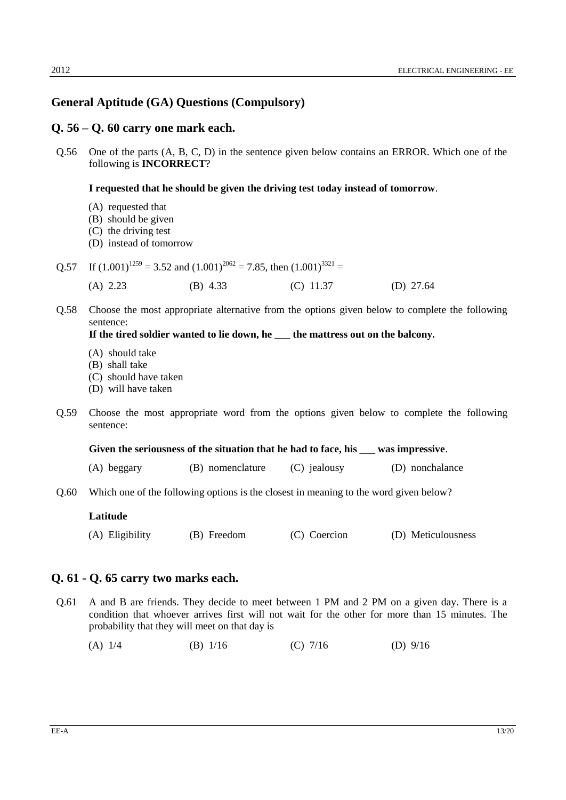### **General Aptitude (GA) Questions (Compulsory)**

#### **Q. 56 – Q. 60 carry one mark each.**

Q.56 One of the parts (A, B, C, D) in the sentence given below contains an ERROR. Which one of the following is **INCORRECT**?

#### **I requested that he should be given the driving test today instead of tomorrow**.

- (A) requested that
- (B) should be given
- (C) the driving test
- (D) instead of tomorrow

Q.57 If 
$$
(1.001)^{1259} = 3.52
$$
 and  $(1.001)^{2062} = 7.85$ , then  $(1.001)^{3321} =$ 

- (A) 2.23 (B) 4.33 (C) 11.37 (D) 27.64
- Q.58 Choose the most appropriate alternative from the options given below to complete the following sentence:

### **If the tired soldier wanted to lie down, he \_\_\_ the mattress out on the balcony.**

- (A) should take
- (B) shall take
- (C) should have taken
- (D) will have taken
- Q.59 Choose the most appropriate word from the options given below to complete the following sentence:

**Given the seriousness of the situation that he had to face, his \_\_\_ was impressive**.

- (A) beggary (B) nomenclature (C) jealousy (D) nonchalance
- Q.60 Which one of the following options is the closest in meaning to the word given below?

#### **Latitude**

(A) Eligibility (B) Freedom (C) Coercion (D) Meticulousness

#### **Q. 61 - Q. 65 carry two marks each.**

- Q.61 A and B are friends. They decide to meet between 1 PM and 2 PM on a given day. There is a condition that whoever arrives first will not wait for the other for more than 15 minutes. The probability that they will meet on that day is
	- (A) 1/4 (B) 1/16 (C) 7/16 (D) 9/16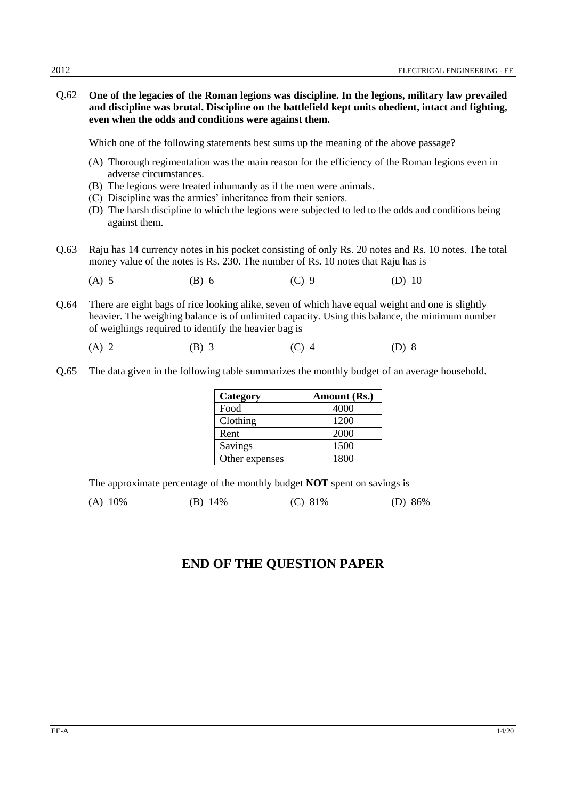Q.62 **One of the legacies of the Roman legions was discipline. In the legions, military law prevailed and discipline was brutal. Discipline on the battlefield kept units obedient, intact and fighting, even when the odds and conditions were against them.** 

Which one of the following statements best sums up the meaning of the above passage?

- (A) Thorough regimentation was the main reason for the efficiency of the Roman legions even in adverse circumstances.
- (B) The legions were treated inhumanly as if the men were animals.
- (C) Discipline was the armies' inheritance from their seniors.
- (D) The harsh discipline to which the legions were subjected to led to the odds and conditions being against them.
- Q.63 Raju has 14 currency notes in his pocket consisting of only Rs. 20 notes and Rs. 10 notes. The total money value of the notes is Rs. 230. The number of Rs. 10 notes that Raju has is
	- (A) 5 (B) 6 (C) 9 (D) 10
- Q.64 There are eight bags of rice looking alike, seven of which have equal weight and one is slightly heavier. The weighing balance is of unlimited capacity. Using this balance, the minimum number of weighings required to identify the heavier bag is
	- (A) 2 (B) 3 (C) 4 (D) 8
- Q.65 The data given in the following table summarizes the monthly budget of an average household.

| Category       | Amount (Rs.) |
|----------------|--------------|
| Food           | 4000         |
| Clothing       | 1200         |
| Rent           | 2000         |
| Savings        | 1500         |
| Other expenses | 1800         |

The approximate percentage of the monthly budget **NOT** spent on savings is

(A) 10% (B) 14% (C) 81% (D) 86%

## **END OF THE QUESTION PAPER**